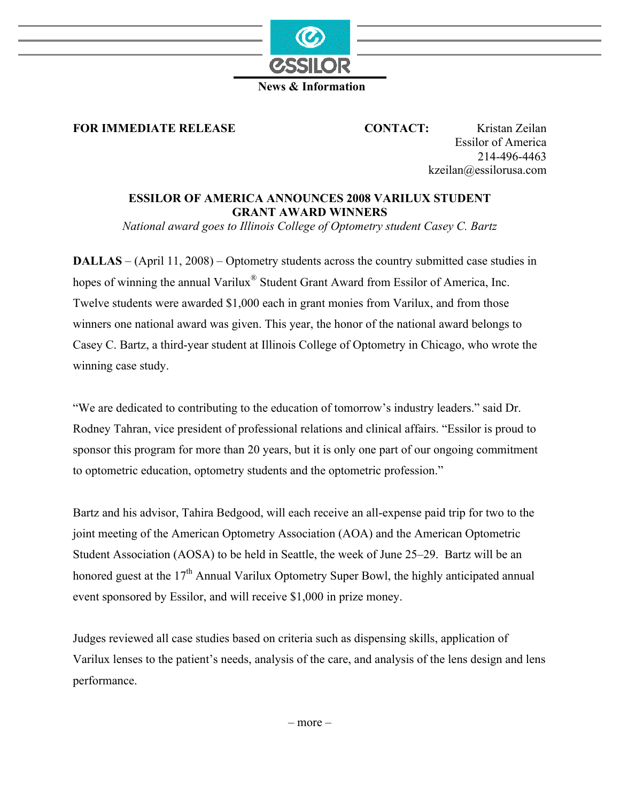

## **News & Information**

**FOR IMMEDIATE RELEASE CONTACT:** Kristan Zeilan

Essilor of America 214-496-4463 kzeilan@essilorusa.com

## **ESSILOR OF AMERICA ANNOUNCES 2008 VARILUX STUDENT GRANT AWARD WINNERS**

*National award goes to Illinois College of Optometry student Casey C. Bartz* 

**DALLAS** – (April 11, 2008) – Optometry students across the country submitted case studies in hopes of winning the annual Varilux<sup>®</sup> Student Grant Award from Essilor of America, Inc. Twelve students were awarded \$1,000 each in grant monies from Varilux, and from those winners one national award was given. This year, the honor of the national award belongs to Casey C. Bartz, a third-year student at Illinois College of Optometry in Chicago, who wrote the winning case study.

"We are dedicated to contributing to the education of tomorrow's industry leaders." said Dr. Rodney Tahran, vice president of professional relations and clinical affairs. "Essilor is proud to sponsor this program for more than 20 years, but it is only one part of our ongoing commitment to optometric education, optometry students and the optometric profession."

Bartz and his advisor, Tahira Bedgood, will each receive an all-expense paid trip for two to the joint meeting of the American Optometry Association (AOA) and the American Optometric Student Association (AOSA) to be held in Seattle, the week of June 25–29. Bartz will be an honored guest at the 17<sup>th</sup> Annual Varilux Optometry Super Bowl, the highly anticipated annual event sponsored by Essilor, and will receive \$1,000 in prize money.

Judges reviewed all case studies based on criteria such as dispensing skills, application of Varilux lenses to the patient's needs, analysis of the care, and analysis of the lens design and lens performance.